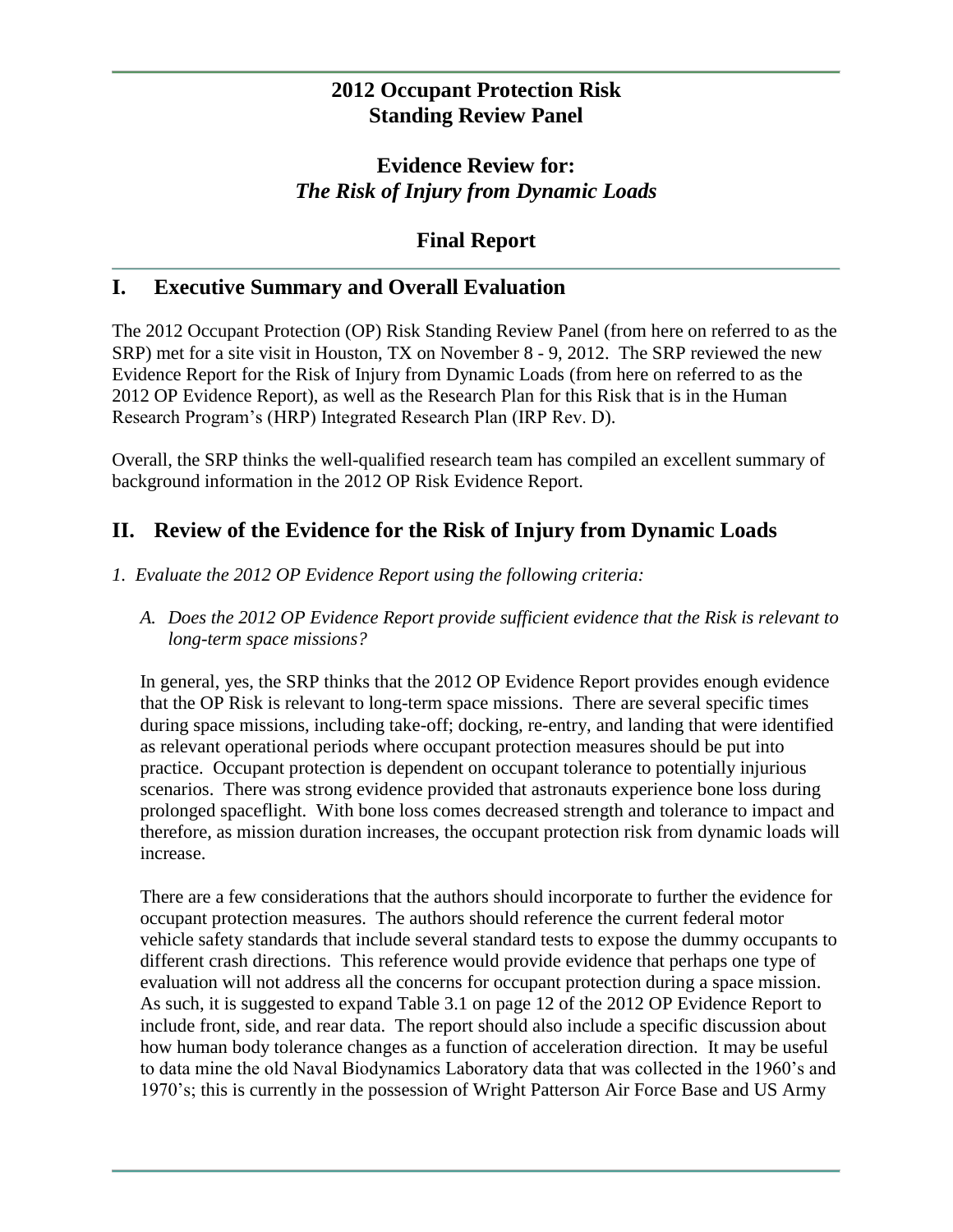## **2012 Occupant Protection Risk Standing Review Panel**

# **Evidence Review for:** *The Risk of Injury from Dynamic Loads*

# **Final Report**

## **I. Executive Summary and Overall Evaluation**

The 2012 Occupant Protection (OP) Risk Standing Review Panel (from here on referred to as the SRP) met for a site visit in Houston, TX on November 8 - 9, 2012. The SRP reviewed the new Evidence Report for the Risk of Injury from Dynamic Loads (from here on referred to as the 2012 OP Evidence Report), as well as the Research Plan for this Risk that is in the Human Research Program's (HRP) Integrated Research Plan (IRP Rev. D).

Overall, the SRP thinks the well-qualified research team has compiled an excellent summary of background information in the 2012 OP Risk Evidence Report.

## **II. Review of the Evidence for the Risk of Injury from Dynamic Loads**

- *1. Evaluate the 2012 OP Evidence Report using the following criteria:*
	- *A. Does the 2012 OP Evidence Report provide sufficient evidence that the Risk is relevant to long-term space missions?*

In general, yes, the SRP thinks that the 2012 OP Evidence Report provides enough evidence that the OP Risk is relevant to long-term space missions. There are several specific times during space missions, including take-off; docking, re-entry, and landing that were identified as relevant operational periods where occupant protection measures should be put into practice. Occupant protection is dependent on occupant tolerance to potentially injurious scenarios. There was strong evidence provided that astronauts experience bone loss during prolonged spaceflight. With bone loss comes decreased strength and tolerance to impact and therefore, as mission duration increases, the occupant protection risk from dynamic loads will increase.

There are a few considerations that the authors should incorporate to further the evidence for occupant protection measures. The authors should reference the current federal motor vehicle safety standards that include several standard tests to expose the dummy occupants to different crash directions. This reference would provide evidence that perhaps one type of evaluation will not address all the concerns for occupant protection during a space mission. As such, it is suggested to expand Table 3.1 on page 12 of the 2012 OP Evidence Report to include front, side, and rear data. The report should also include a specific discussion about how human body tolerance changes as a function of acceleration direction. It may be useful to data mine the old Naval Biodynamics Laboratory data that was collected in the 1960's and 1970's; this is currently in the possession of Wright Patterson Air Force Base and US Army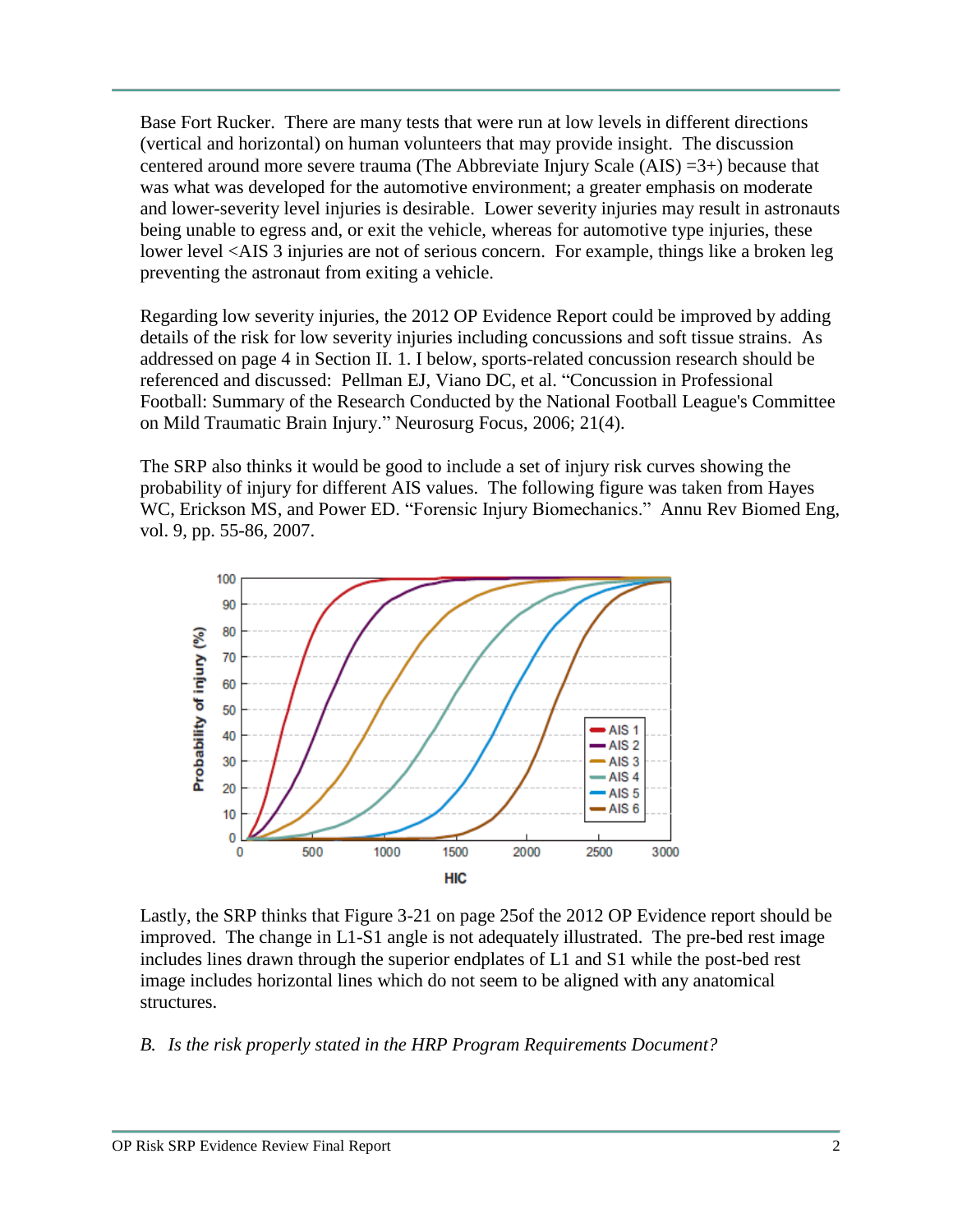Base Fort Rucker. There are many tests that were run at low levels in different directions (vertical and horizontal) on human volunteers that may provide insight. The discussion centered around more severe trauma (The Abbreviate Injury Scale (AIS) =3+) because that was what was developed for the automotive environment; a greater emphasis on moderate and lower-severity level injuries is desirable. Lower severity injuries may result in astronauts being unable to egress and, or exit the vehicle, whereas for automotive type injuries, these lower level <AIS 3 injuries are not of serious concern. For example, things like a broken leg preventing the astronaut from exiting a vehicle.

Regarding low severity injuries, the 2012 OP Evidence Report could be improved by adding details of the risk for low severity injuries including concussions and soft tissue strains. As addressed on page 4 in Section II. 1. I below, sports-related concussion research should be referenced and discussed: Pellman EJ, Viano DC, et al. "Concussion in Professional Football: Summary of the Research Conducted by the National Football League's Committee on Mild Traumatic Brain Injury." Neurosurg Focus, 2006; 21(4).

The SRP also thinks it would be good to include a set of injury risk curves showing the probability of injury for different AIS values. The following figure was taken from Hayes WC, Erickson MS, and Power ED. "Forensic Injury Biomechanics." Annu Rev Biomed Eng, vol. 9, pp. 55-86, 2007.



Lastly, the SRP thinks that Figure 3-21 on page 25of the 2012 OP Evidence report should be improved. The change in L1-S1 angle is not adequately illustrated. The pre-bed rest image includes lines drawn through the superior endplates of L1 and S1 while the post-bed rest image includes horizontal lines which do not seem to be aligned with any anatomical structures.

#### *B. Is the risk properly stated in the HRP Program Requirements Document?*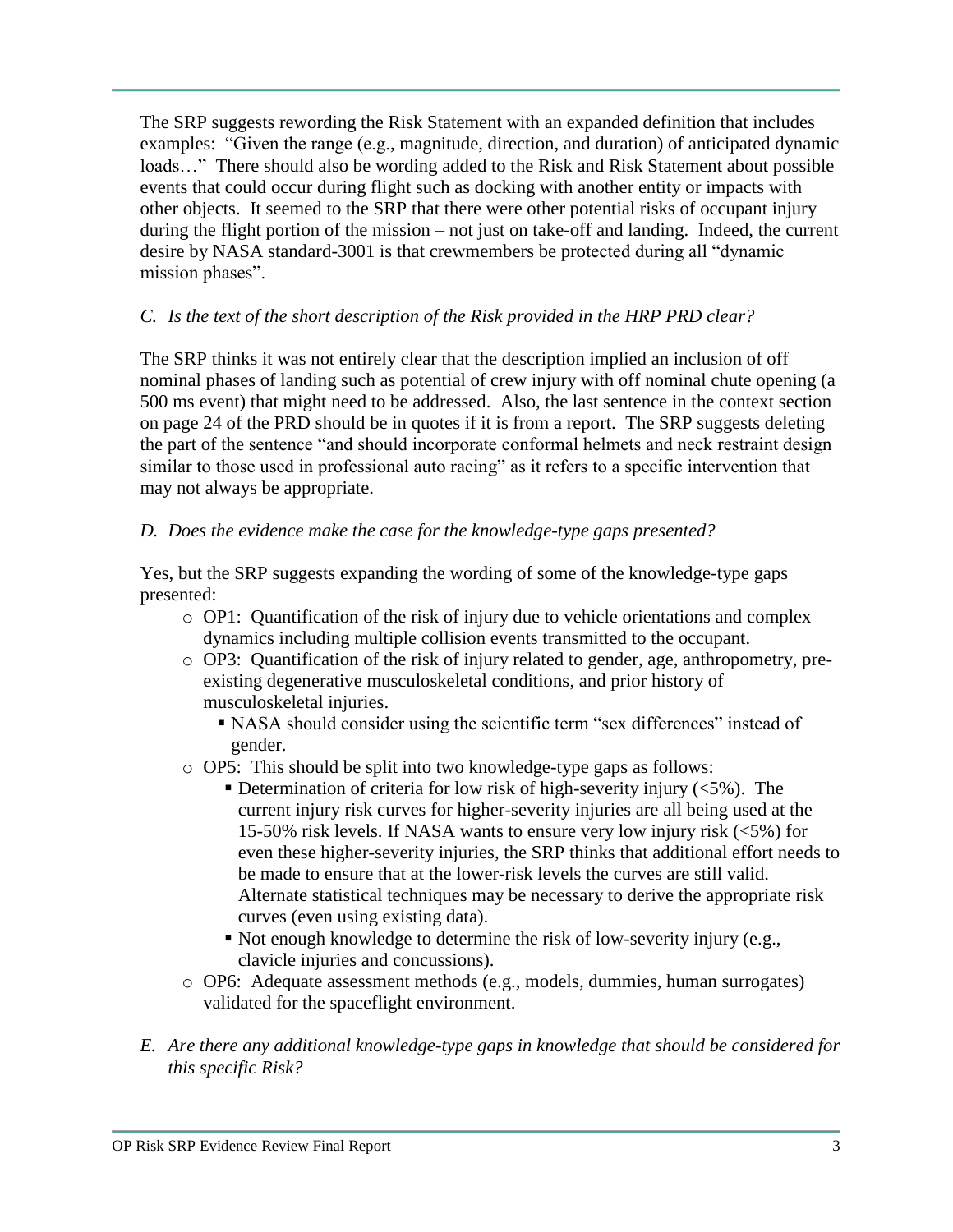The SRP suggests rewording the Risk Statement with an expanded definition that includes examples: "Given the range (e.g., magnitude, direction, and duration) of anticipated dynamic loads…" There should also be wording added to the Risk and Risk Statement about possible events that could occur during flight such as docking with another entity or impacts with other objects. It seemed to the SRP that there were other potential risks of occupant injury during the flight portion of the mission – not just on take-off and landing. Indeed, the current desire by NASA standard-3001 is that crewmembers be protected during all "dynamic mission phases".

## *C. Is the text of the short description of the Risk provided in the HRP PRD clear?*

The SRP thinks it was not entirely clear that the description implied an inclusion of off nominal phases of landing such as potential of crew injury with off nominal chute opening (a 500 ms event) that might need to be addressed. Also, the last sentence in the context section on page 24 of the PRD should be in quotes if it is from a report. The SRP suggests deleting the part of the sentence "and should incorporate conformal helmets and neck restraint design similar to those used in professional auto racing" as it refers to a specific intervention that may not always be appropriate.

### *D. Does the evidence make the case for the knowledge-type gaps presented?*

Yes, but the SRP suggests expanding the wording of some of the knowledge-type gaps presented:

- $\circ$  OP1: Quantification of the risk of injury due to vehicle orientations and complex dynamics including multiple collision events transmitted to the occupant.
- o OP3: Quantification of the risk of injury related to gender, age, anthropometry, preexisting degenerative musculoskeletal conditions, and prior history of musculoskeletal injuries.
	- NASA should consider using the scientific term "sex differences" instead of gender.
- o OP5: This should be split into two knowledge-type gaps as follows:
	- Determination of criteria for low risk of high-severity injury  $\langle 5\% \rangle$ . The current injury risk curves for higher-severity injuries are all being used at the 15-50% risk levels. If NASA wants to ensure very low injury risk (<5%) for even these higher-severity injuries, the SRP thinks that additional effort needs to be made to ensure that at the lower-risk levels the curves are still valid. Alternate statistical techniques may be necessary to derive the appropriate risk curves (even using existing data).
	- Not enough knowledge to determine the risk of low-severity injury (e.g., clavicle injuries and concussions).
- o OP6: Adequate assessment methods (e.g., models, dummies, human surrogates) validated for the spaceflight environment.
- *E. Are there any additional knowledge-type gaps in knowledge that should be considered for this specific Risk?*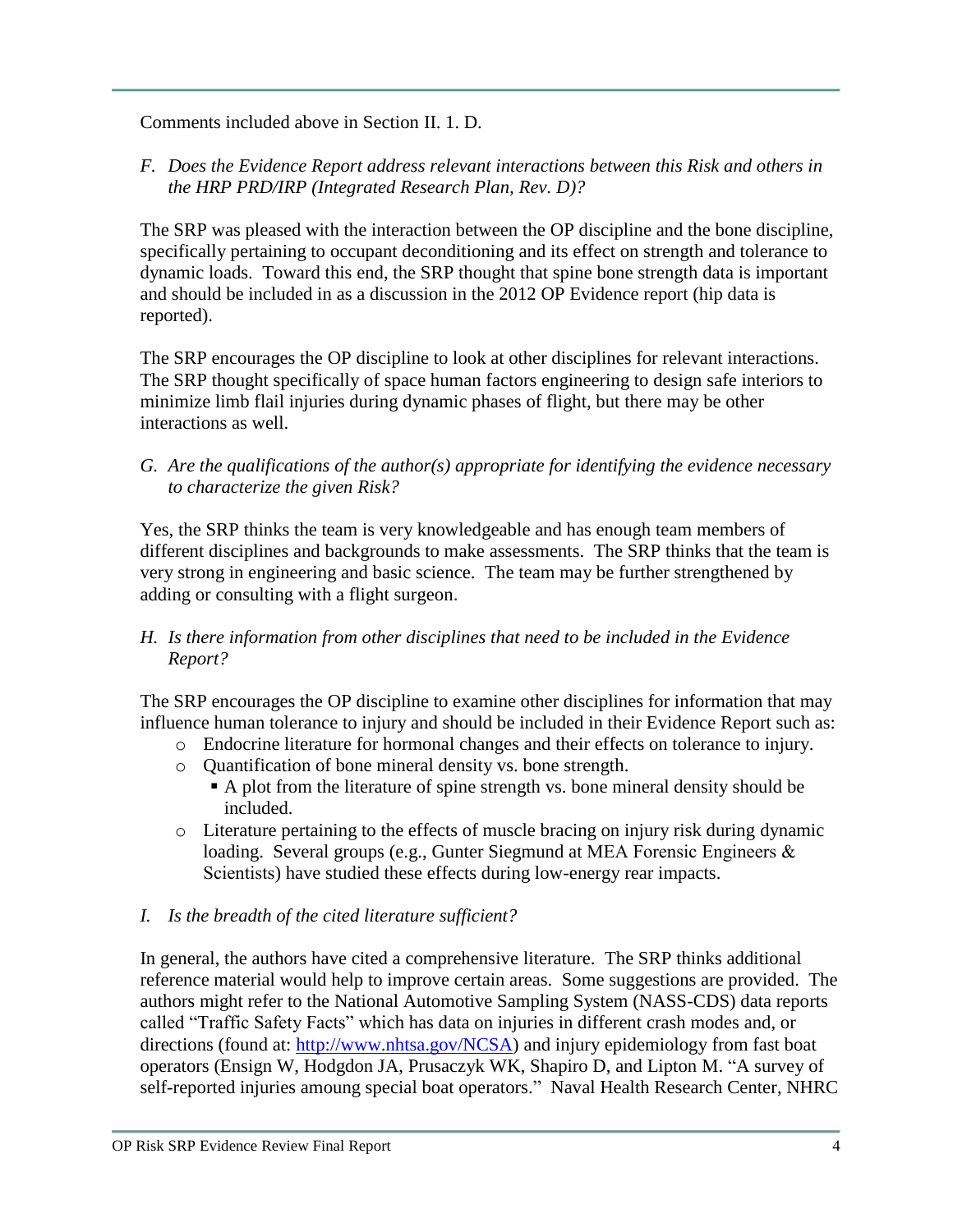Comments included above in Section II. 1. D.

*F. Does the Evidence Report address relevant interactions between this Risk and others in the HRP PRD/IRP (Integrated Research Plan, Rev. D)?*

The SRP was pleased with the interaction between the OP discipline and the bone discipline, specifically pertaining to occupant deconditioning and its effect on strength and tolerance to dynamic loads. Toward this end, the SRP thought that spine bone strength data is important and should be included in as a discussion in the 2012 OP Evidence report (hip data is reported).

The SRP encourages the OP discipline to look at other disciplines for relevant interactions. The SRP thought specifically of space human factors engineering to design safe interiors to minimize limb flail injuries during dynamic phases of flight, but there may be other interactions as well.

*G. Are the qualifications of the author(s) appropriate for identifying the evidence necessary to characterize the given Risk?*

Yes, the SRP thinks the team is very knowledgeable and has enough team members of different disciplines and backgrounds to make assessments. The SRP thinks that the team is very strong in engineering and basic science. The team may be further strengthened by adding or consulting with a flight surgeon.

### *H. Is there information from other disciplines that need to be included in the Evidence Report?*

The SRP encourages the OP discipline to examine other disciplines for information that may influence human tolerance to injury and should be included in their Evidence Report such as:

- o Endocrine literature for hormonal changes and their effects on tolerance to injury.
- o Quantification of bone mineral density vs. bone strength.
	- A plot from the literature of spine strength vs. bone mineral density should be included.
- o Literature pertaining to the effects of muscle bracing on injury risk during dynamic loading. Several groups (e.g., Gunter Siegmund at MEA Forensic Engineers & Scientists) have studied these effects during low-energy rear impacts.
- *I. Is the breadth of the cited literature sufficient?*

In general, the authors have cited a comprehensive literature. The SRP thinks additional reference material would help to improve certain areas. Some suggestions are provided. The authors might refer to the National Automotive Sampling System (NASS-CDS) data reports called "Traffic Safety Facts" which has data on injuries in different crash modes and, or directions (found at: [http://www.nhtsa.gov/NCSA\)](http://www.nhtsa.gov/NCSA) and injury epidemiology from fast boat operators (Ensign W, Hodgdon JA, Prusaczyk WK, Shapiro D, and Lipton M. "A survey of self-reported injuries amoung special boat operators." Naval Health Research Center, NHRC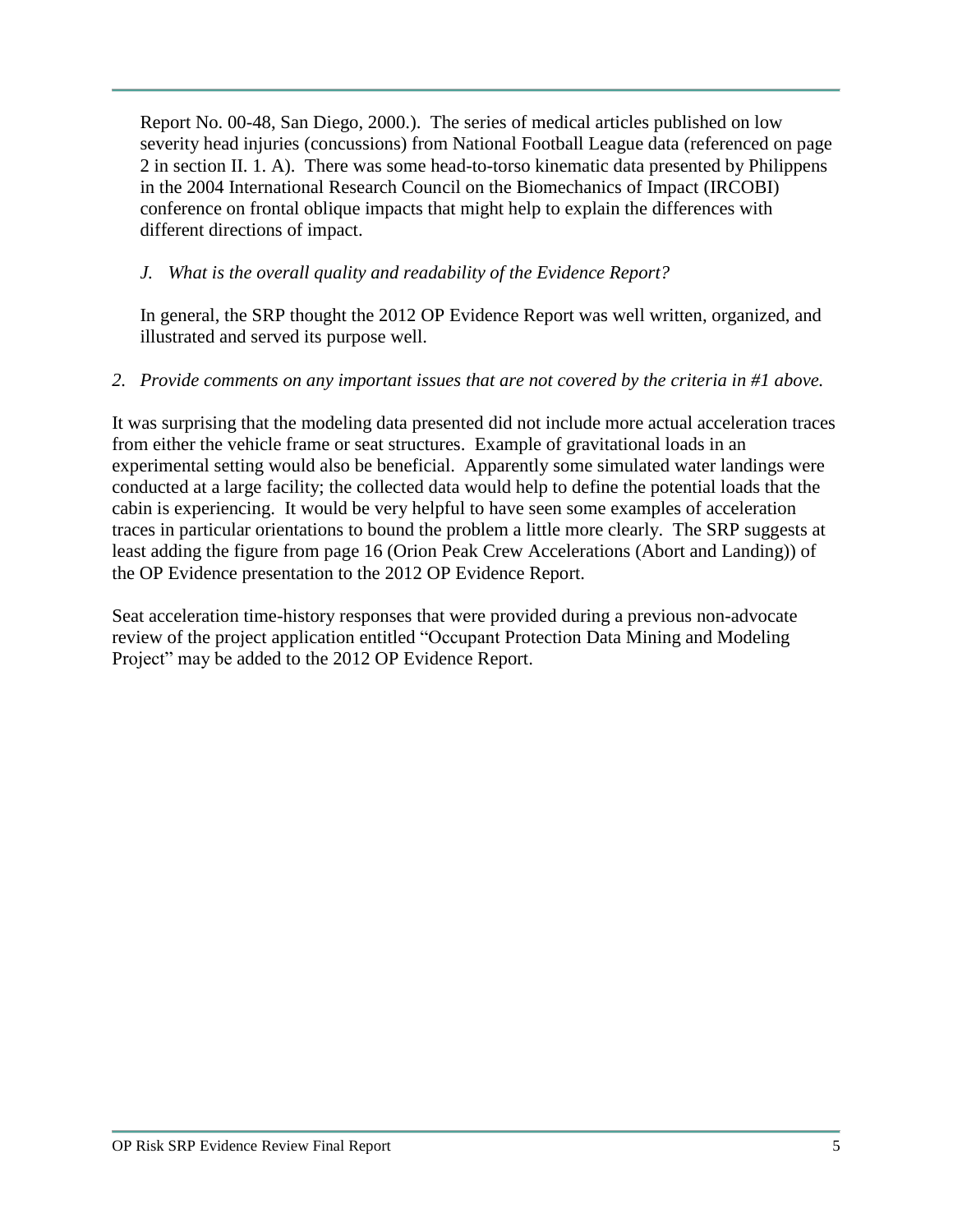Report No. 00-48, San Diego, 2000.). The series of medical articles published on low severity head injuries (concussions) from National Football League data (referenced on page 2 in section II. 1. A). There was some head-to-torso kinematic data presented by Philippens in the 2004 International Research Council on the Biomechanics of Impact (IRCOBI) conference on frontal oblique impacts that might help to explain the differences with different directions of impact.

## *J. What is the overall quality and readability of the Evidence Report?*

In general, the SRP thought the 2012 OP Evidence Report was well written, organized, and illustrated and served its purpose well.

### *2. Provide comments on any important issues that are not covered by the criteria in #1 above.*

It was surprising that the modeling data presented did not include more actual acceleration traces from either the vehicle frame or seat structures. Example of gravitational loads in an experimental setting would also be beneficial. Apparently some simulated water landings were conducted at a large facility; the collected data would help to define the potential loads that the cabin is experiencing. It would be very helpful to have seen some examples of acceleration traces in particular orientations to bound the problem a little more clearly. The SRP suggests at least adding the figure from page 16 (Orion Peak Crew Accelerations (Abort and Landing)) of the OP Evidence presentation to the 2012 OP Evidence Report.

Seat acceleration time-history responses that were provided during a previous non-advocate review of the project application entitled "Occupant Protection Data Mining and Modeling Project" may be added to the 2012 OP Evidence Report.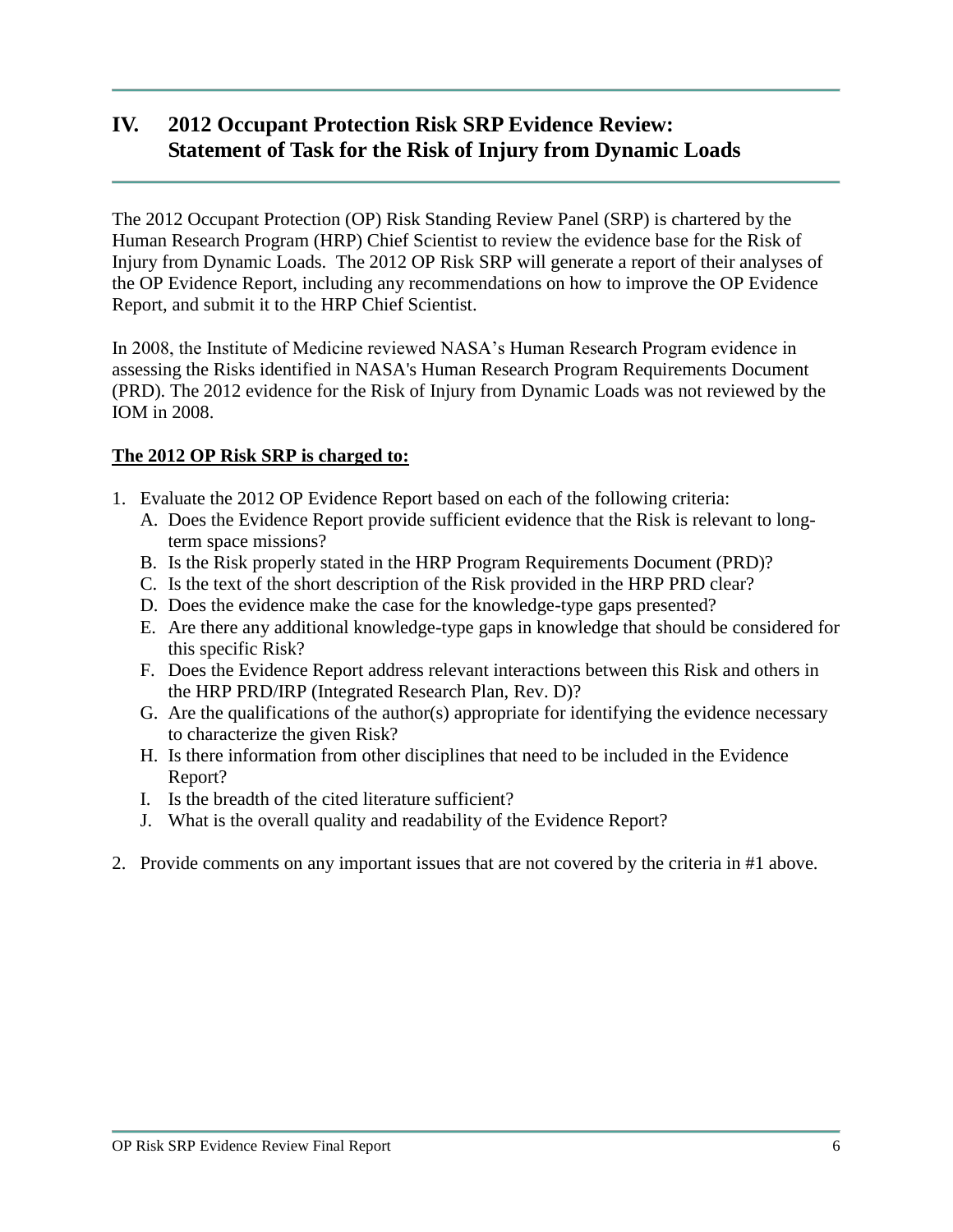# **IV. 2012 Occupant Protection Risk SRP Evidence Review: Statement of Task for the Risk of Injury from Dynamic Loads**

The 2012 Occupant Protection (OP) Risk Standing Review Panel (SRP) is chartered by the Human Research Program (HRP) Chief Scientist to review the evidence base for the Risk of Injury from Dynamic Loads. The 2012 OP Risk SRP will generate a report of their analyses of the OP Evidence Report, including any recommendations on how to improve the OP Evidence Report, and submit it to the HRP Chief Scientist.

In 2008, the Institute of Medicine reviewed NASA's Human Research Program evidence in assessing the Risks identified in NASA's Human Research Program Requirements Document (PRD). The 2012 evidence for the Risk of Injury from Dynamic Loads was not reviewed by the IOM in 2008.

### **The 2012 OP Risk SRP is charged to:**

- 1. Evaluate the 2012 OP Evidence Report based on each of the following criteria:
	- A. Does the Evidence Report provide sufficient evidence that the Risk is relevant to longterm space missions?
	- B. Is the Risk properly stated in the HRP Program Requirements Document (PRD)?
	- C. Is the text of the short description of the Risk provided in the HRP PRD clear?
	- D. Does the evidence make the case for the knowledge-type gaps presented?
	- E. Are there any additional knowledge-type gaps in knowledge that should be considered for this specific Risk?
	- F. Does the Evidence Report address relevant interactions between this Risk and others in the HRP PRD/IRP (Integrated Research Plan, Rev. D)?
	- G. Are the qualifications of the author(s) appropriate for identifying the evidence necessary to characterize the given Risk?
	- H. Is there information from other disciplines that need to be included in the Evidence Report?
	- I. Is the breadth of the cited literature sufficient?
	- J. What is the overall quality and readability of the Evidence Report?
- 2. Provide comments on any important issues that are not covered by the criteria in #1 above.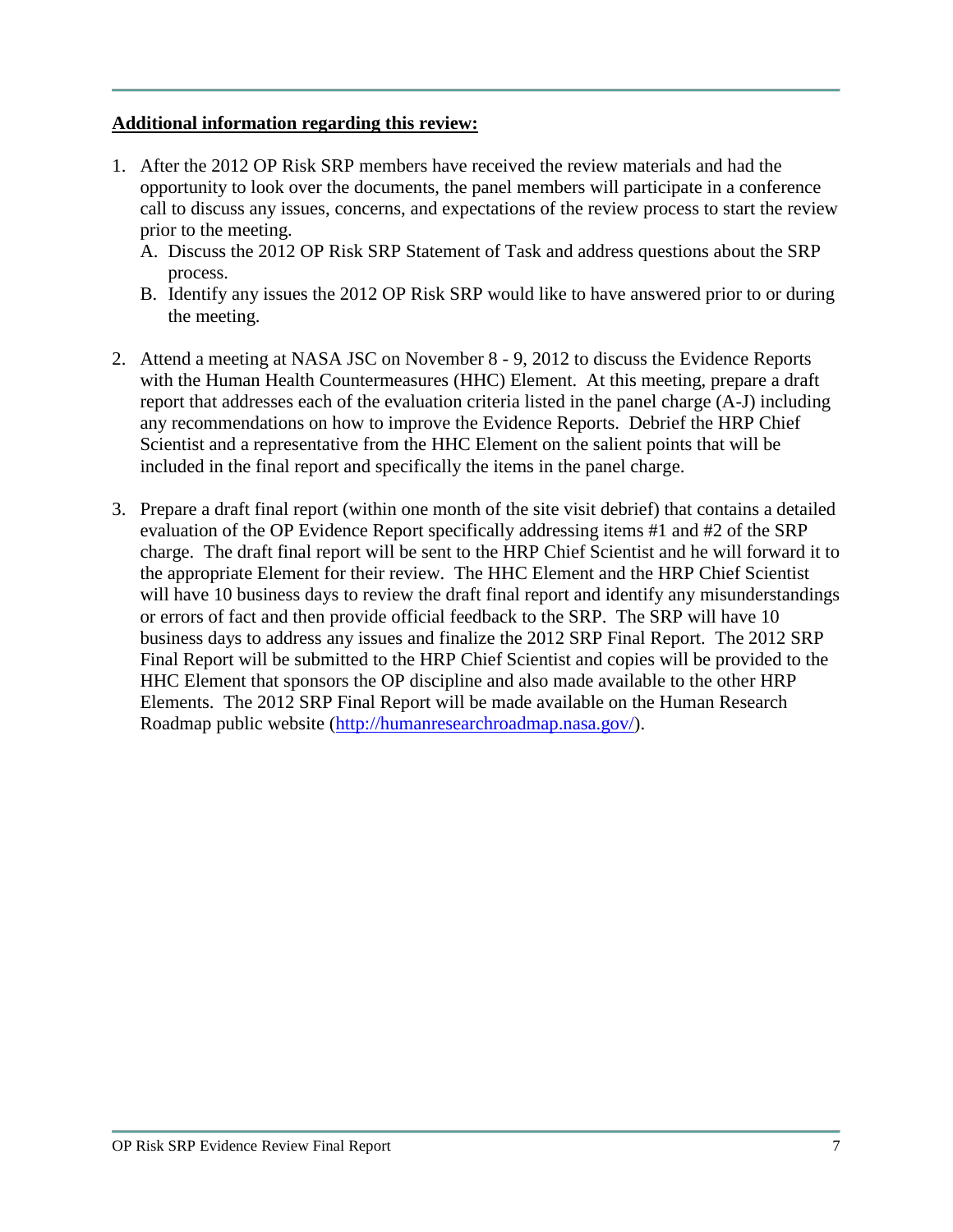#### **Additional information regarding this review:**

- 1. After the 2012 OP Risk SRP members have received the review materials and had the opportunity to look over the documents, the panel members will participate in a conference call to discuss any issues, concerns, and expectations of the review process to start the review prior to the meeting.
	- A. Discuss the 2012 OP Risk SRP Statement of Task and address questions about the SRP process.
	- B. Identify any issues the 2012 OP Risk SRP would like to have answered prior to or during the meeting.
- 2. Attend a meeting at NASA JSC on November 8 9, 2012 to discuss the Evidence Reports with the Human Health Countermeasures (HHC) Element. At this meeting, prepare a draft report that addresses each of the evaluation criteria listed in the panel charge (A-J) including any recommendations on how to improve the Evidence Reports. Debrief the HRP Chief Scientist and a representative from the HHC Element on the salient points that will be included in the final report and specifically the items in the panel charge.
- 3. Prepare a draft final report (within one month of the site visit debrief) that contains a detailed evaluation of the OP Evidence Report specifically addressing items #1 and #2 of the SRP charge. The draft final report will be sent to the HRP Chief Scientist and he will forward it to the appropriate Element for their review. The HHC Element and the HRP Chief Scientist will have 10 business days to review the draft final report and identify any misunderstandings or errors of fact and then provide official feedback to the SRP. The SRP will have 10 business days to address any issues and finalize the 2012 SRP Final Report. The 2012 SRP Final Report will be submitted to the HRP Chief Scientist and copies will be provided to the HHC Element that sponsors the OP discipline and also made available to the other HRP Elements. The 2012 SRP Final Report will be made available on the Human Research Roadmap public website [\(http://humanresearchroadmap.nasa.gov/\)](http://humanresearchroadmap.nasa.gov/).